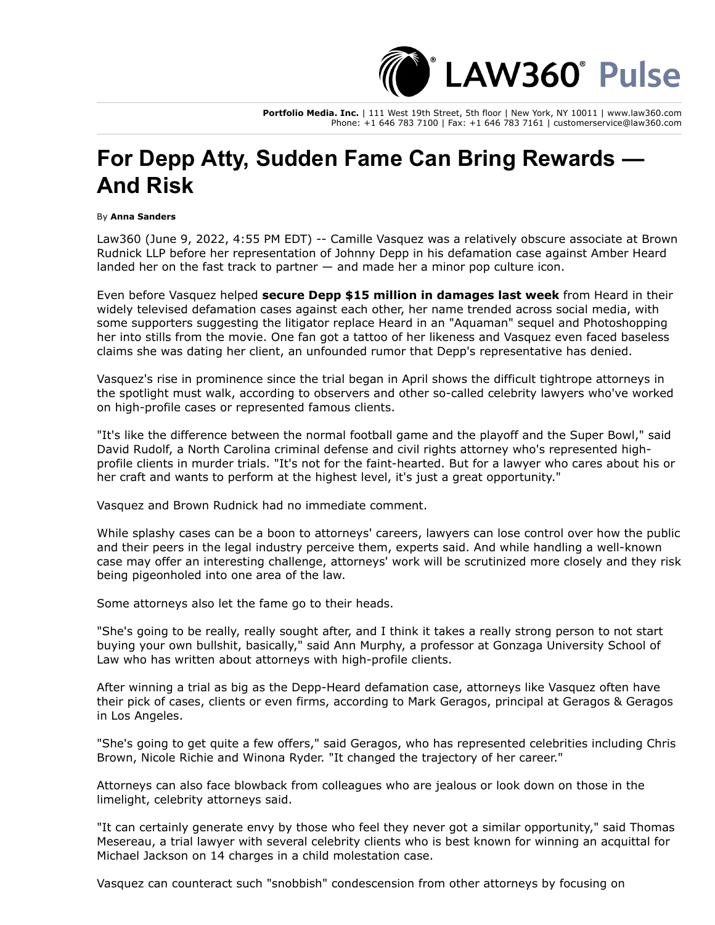LAW360° Pulse

**Portfolio Media. Inc.** | 111 West 19th Street, 5th floor | New York, NY 10011 | www.law360.com Phone: +1 646 783 7100 | Fax: +1 646 783 7161 | customerservice@law360.com

## **For Depp Atty, Sudden Fame Can Bring Rewards — And Risk**

By **Anna Sanders**

Law360 (June 9, 2022, 4:55 PM EDT) -- Camille Vasquez was a relatively obscure associate at Brown [Rudnick LLP before her representation of Johnny Depp in his defamation case against Amber Heard](https://www.law360.com/firms/brown-rudnick) landed her on the fast track to partner — and made her a minor pop culture icon.

Even before Vasquez helped **[secure Depp \\$15 million in damages last week](https://www.law360.com/articles/1498335)** from Heard in their widely televised defamation cases against each other, her name trended across social media, with some supporters suggesting the litigator replace Heard in an "Aquaman" sequel and Photoshopping her into stills from the movie. One fan got a tattoo of her likeness and Vasquez even faced baseless claims she was dating her client, an unfounded rumor that Depp's representative has denied.

Vasquez's rise in prominence since the trial began in April shows the difficult tightrope attorneys in the spotlight must walk, according to observers and other so-called celebrity lawyers who've worked on high-profile cases or represented famous clients.

"It's like the difference between the normal football game and the playoff and the Super Bowl," said David Rudolf, a North Carolina criminal defense and civil rights attorney who's represented highprofile clients in murder trials. "It's not for the faint-hearted. But for a lawyer who cares about his or her craft and wants to perform at the highest level, it's just a great opportunity."

Vasquez and Brown Rudnick had no immediate comment.

While splashy cases can be a boon to attorneys' careers, lawyers can lose control over how the public and their peers in the legal industry perceive them, experts said. And while handling a well-known case may offer an interesting challenge, attorneys' work will be scrutinized more closely and they risk being pigeonholed into one area of the law.

Some attorneys also let the fame go to their heads.

"She's going to be really, really sought after, and I think it takes a really strong person to not start buying your own bullshit, basically," said Ann Murphy, a professor at Gonzaga University School of Law who has written about attorneys with high-profile clients.

After winning a trial as big as the Depp-Heard defamation case, attorneys like Vasquez often have their pick of cases, clients or even firms, according to Mark Geragos, principal at [Geragos & Geragos](https://www.law360.com/firms/geragos-geragos) in Los Angeles.

"She's going to get quite a few offers," said Geragos, who has represented celebrities including Chris Brown, Nicole Richie and Winona Ryder. "It changed the trajectory of her career."

Attorneys can also face blowback from colleagues who are jealous or look down on those in the limelight, celebrity attorneys said.

"It can certainly generate envy by those who feel they never got a similar opportunity," said Thomas Mesereau, a trial lawyer with several celebrity clients who is best known for winning an acquittal for Michael Jackson on 14 charges in a child molestation case.

Vasquez can counteract such "snobbish" condescension from other attorneys by focusing on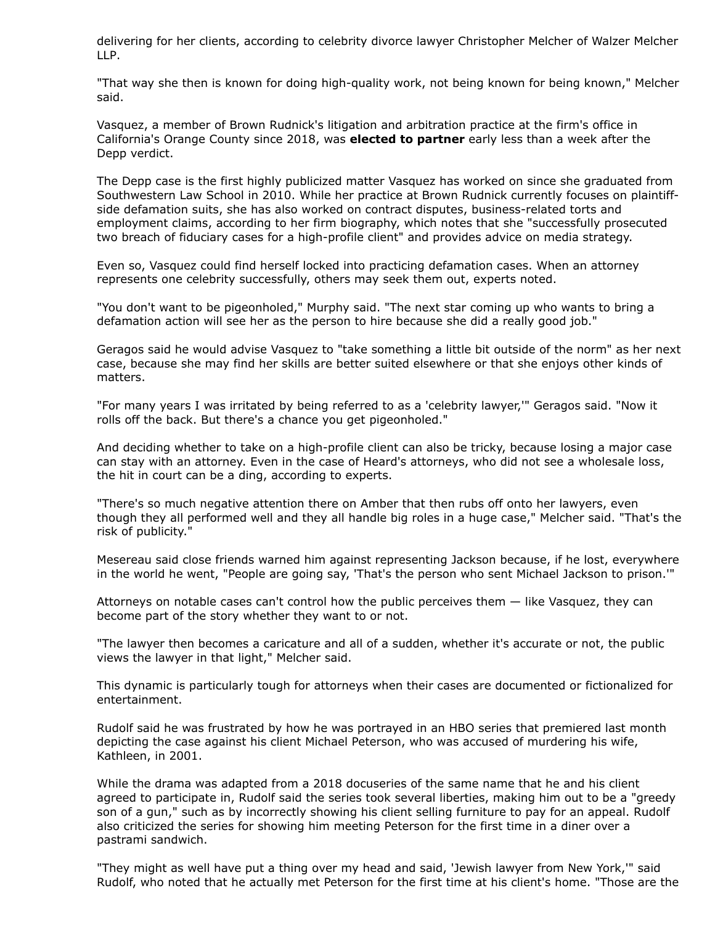[delivering for her clients, according to celebrity divorce lawyer Christopher Melcher of Walzer Melcher](https://www.law360.com/firms/walzer-melcher) LLP.

"That way she then is known for doing high-quality work, not being known for being known," Melcher said.

Vasquez, a member of Brown Rudnick's litigation and arbitration practice at the firm's office in California's Orange County since 2018, was **[elected to partner](https://www.law360.com/articles/1500392)** early less than a week after the Depp verdict.

The Depp case is the first highly publicized matter Vasquez has worked on since she graduated from [Southwestern Law School](https://www.law360.com/companies/southwestern-law-school) in 2010. While her practice at Brown Rudnick currently focuses on plaintiffside defamation suits, she has also worked on contract disputes, business-related torts and employment claims, according to her firm biography, which notes that she "successfully prosecuted two breach of fiduciary cases for a high-profile client" and provides advice on media strategy.

Even so, Vasquez could find herself locked into practicing defamation cases. When an attorney represents one celebrity successfully, others may seek them out, experts noted.

"You don't want to be pigeonholed," Murphy said. "The next star coming up who wants to bring a defamation action will see her as the person to hire because she did a really good job."

Geragos said he would advise Vasquez to "take something a little bit outside of the norm" as her next case, because she may find her skills are better suited elsewhere or that she enjoys other kinds of matters.

"For many years I was irritated by being referred to as a 'celebrity lawyer,'" Geragos said. "Now it rolls off the back. But there's a chance you get pigeonholed."

And deciding whether to take on a high-profile client can also be tricky, because losing a major case can stay with an attorney. Even in the case of Heard's attorneys, who did not see a wholesale loss, the hit in court can be a ding, according to experts.

"There's so much negative attention there on Amber that then rubs off onto her lawyers, even though they all performed well and they all handle big roles in a huge case," Melcher said. "That's the risk of publicity."

Mesereau said close friends warned him against representing Jackson because, if he lost, everywhere in the world he went, "People are going say, 'That's the person who sent Michael Jackson to prison.'"

Attorneys on notable cases can't control how the public perceives them — like Vasquez, they can become part of the story whether they want to or not.

"The lawyer then becomes a caricature and all of a sudden, whether it's accurate or not, the public views the lawyer in that light," Melcher said.

This dynamic is particularly tough for attorneys when their cases are documented or fictionalized for entertainment.

Rudolf said he was frustrated by how he was portrayed in an [HBO](https://www.law360.com/companies/home-box-office-inc) series that premiered last month depicting the case against his client Michael Peterson, who was accused of murdering his wife, Kathleen, in 2001.

While the drama was adapted from a 2018 docuseries of the same name that he and his client agreed to participate in, Rudolf said the series took several liberties, making him out to be a "greedy son of a gun," such as by incorrectly showing his client selling furniture to pay for an appeal. Rudolf also criticized the series for showing him meeting Peterson for the first time in a diner over a pastrami sandwich.

"They might as well have put a thing over my head and said, 'Jewish lawyer from New York,'" said Rudolf, who noted that he actually met Peterson for the first time at his client's home. "Those are the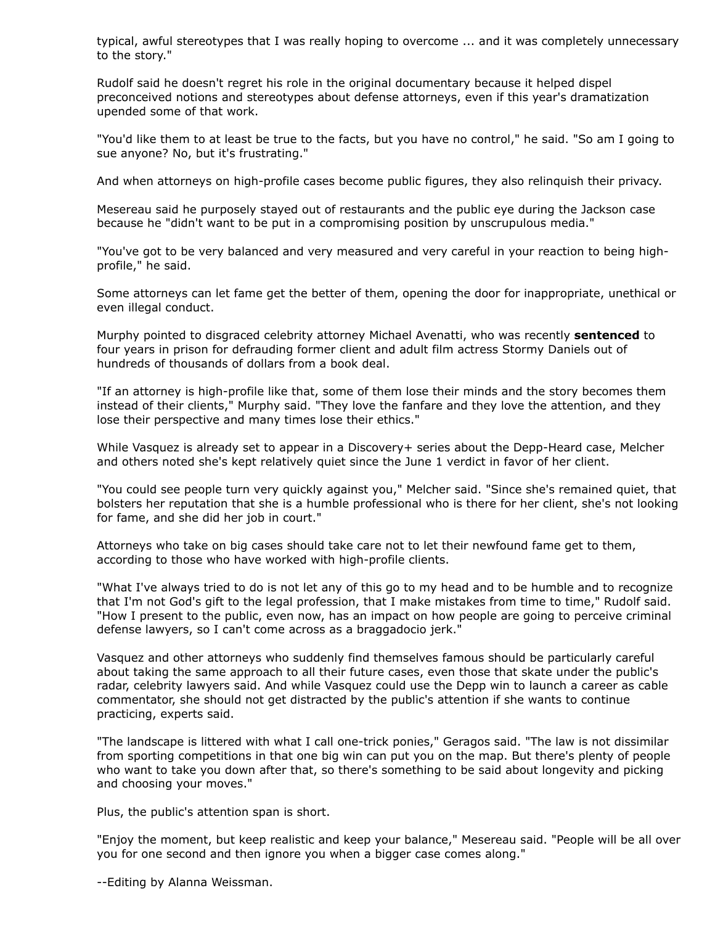typical, awful stereotypes that I was really hoping to overcome ... and it was completely unnecessary to the story."

Rudolf said he doesn't regret his role in the original documentary because it helped dispel preconceived notions and stereotypes about defense attorneys, even if this year's dramatization upended some of that work.

"You'd like them to at least be true to the facts, but you have no control," he said. "So am I going to sue anyone? No, but it's frustrating."

And when attorneys on high-profile cases become public figures, they also relinquish their privacy.

Mesereau said he purposely stayed out of restaurants and the public eye during the Jackson case because he "didn't want to be put in a compromising position by unscrupulous media."

"You've got to be very balanced and very measured and very careful in your reaction to being highprofile," he said.

Some attorneys can let fame get the better of them, opening the door for inappropriate, unethical or even illegal conduct.

Murphy pointed to disgraced celebrity attorney Michael Avenatti, who was recently **[sentenced](https://www.law360.com/articles/1498910/avenatti-gets-4-years-for-defrauding-stormy-daniels)** to four years in prison for defrauding former client and adult film actress Stormy Daniels out of hundreds of thousands of dollars from a book deal.

"If an attorney is high-profile like that, some of them lose their minds and the story becomes them instead of their clients," Murphy said. "They love the fanfare and they love the attention, and they lose their perspective and many times lose their ethics."

While Vasquez is already set to appear in a Discovery+ series about the Depp-Heard case, Melcher and others noted she's kept relatively quiet since the June 1 verdict in favor of her client.

"You could see people turn very quickly against you," Melcher said. "Since she's remained quiet, that bolsters her reputation that she is a humble professional who is there for her client, she's not looking for fame, and she did her job in court."

Attorneys who take on big cases should take care not to let their newfound fame get to them, according to those who have worked with high-profile clients.

"What I've always tried to do is not let any of this go to my head and to be humble and to recognize that I'm not God's gift to the legal profession, that I make mistakes from time to time," Rudolf said. "How I present to the public, even now, has an impact on how people are going to perceive criminal defense lawyers, so I can't come across as a braggadocio jerk."

Vasquez and other attorneys who suddenly find themselves famous should be particularly careful about taking the same approach to all their future cases, even those that skate under the public's radar, celebrity lawyers said. And while Vasquez could use the Depp win to launch a career as cable commentator, she should not get distracted by the public's attention if she wants to continue practicing, experts said.

"The landscape is littered with what I call one-trick ponies," Geragos said. "The law is not dissimilar from sporting competitions in that one big win can put you on the map. But there's plenty of people who want to take you down after that, so there's something to be said about longevity and picking and choosing your moves."

Plus, the public's attention span is short.

"Enjoy the moment, but keep realistic and keep your balance," Mesereau said. "People will be all over you for one second and then ignore you when a bigger case comes along."

--Editing by Alanna Weissman.